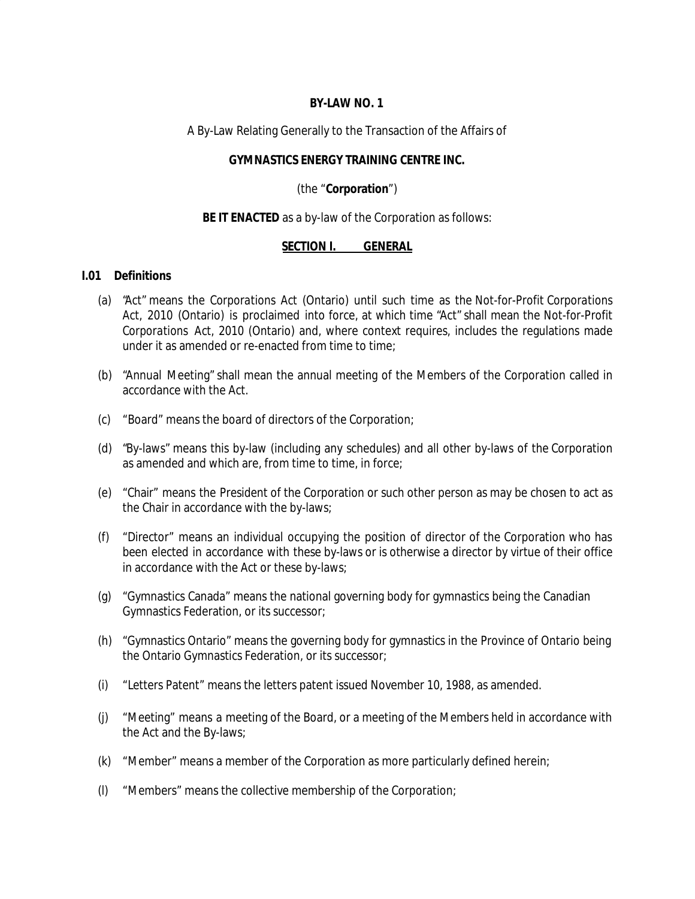## **BY-LAW NO. 1**

### A By-Law Relating Generally to the Transaction of the Affairs of

### **GYMNASTICS ENERGY TRAINING CENTRE INC.**

## (the "**Corporation**")

### **BE IT ENACTED** as a by-law of the Corporation as follows:

### **SECTION I. GENERAL**

# **I.01 Definitions**

- (a) "Act" means the *Corporations Act* (Ontario) until such time as the *Not-for-Profit Corporations Act*, 2010 (Ontario) is proclaimed into force, at which time "Act" shall mean the *Not-for-Profit Corporations Act*, 2010 (Ontario) and, where context requires, includes the regulations made under it as amended or re-enacted from time to time;
- (b) "Annual Meeting" shall mean the annual meeting of the Members of the Corporation called in accordance with the Act.
- (c) "Board" means the board of directors of the Corporation;
- (d) "By-laws" means this by-law (including any schedules) and all other by-laws of the Corporation as amended and which are, from time to time, in force;
- (e) "Chair" means the President of the Corporation or such other person as may be chosen to act as the Chair in accordance with the by-laws;
- (f) "Director" means an individual occupying the position of director of the Corporation who has been elected in accordance with these by-laws or is otherwise a director by virtue of their office in accordance with the Act or these by-laws;
- (g) "Gymnastics Canada" means the national governing body for gymnastics being the Canadian Gymnastics Federation, or its successor;
- (h) "Gymnastics Ontario" means the governing body for gymnastics in the Province of Ontario being the Ontario Gymnastics Federation, or its successor;
- (i) "Letters Patent" means the letters patent issued November 10, 1988, as amended.
- (j) "Meeting" means a meeting of the Board, or a meeting of the Members held in accordance with the Act and the By-laws;
- (k) "Member" means a member of the Corporation as more particularly defined herein;
- (l) "Members" means the collective membership of the Corporation;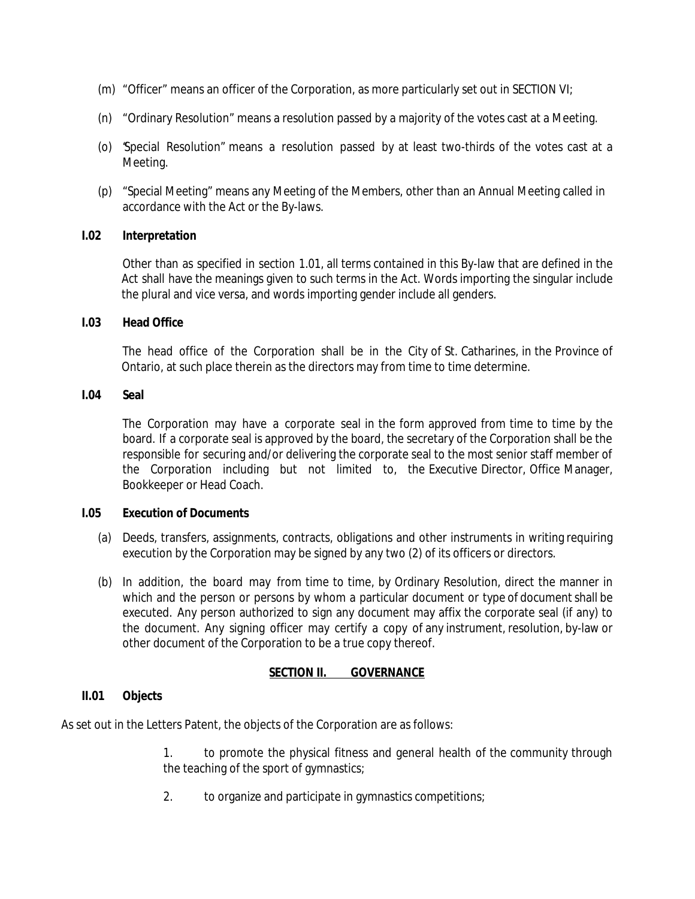- (m) "Officer" means an officer of the Corporation, as more particularly set out in SECTION VI;
- (n) "Ordinary Resolution" means a resolution passed by a majority of the votes cast at a Meeting.
- (o) "Special Resolution" means a resolution passed by at least two-thirds of the votes cast at a Meeting.
- (p) "Special Meeting" means any Meeting of the Members, other than an Annual Meeting called in accordance with the Act or the By-laws.

# **I.02 Interpretation**

Other than as specified in section 1.01, all terms contained in this By-law that are defined in the Act shall have the meanings given to such terms in the Act. Words importing the singular include the plural and vice versa, and words importing gender include all genders.

### **I.03 Head Office**

The head office of the Corporation shall be in the City of St. Catharines, in the Province of Ontario, at such place therein as the directors may from time to time determine.

# **I.04 Seal**

The Corporation may have a corporate seal in the form approved from time to time by the board. If a corporate seal is approved by the board, the secretary of the Corporation shall be the responsible for securing and/or delivering the corporate seal to the most senior staff member of the Corporation including but not limited to, the Executive Director, Office Manager, Bookkeeper or Head Coach.

# **I.05 Execution of Documents**

- (a) Deeds, transfers, assignments, contracts, obligations and other instruments in writing requiring execution by the Corporation may be signed by any two (2) of its officers or directors.
- (b) In addition, the board may from time to time, by Ordinary Resolution, direct the manner in which and the person or persons by whom a particular document or type of document shall be executed. Any person authorized to sign any document may affix the corporate seal (if any) to the document. Any signing officer may certify a copy of any instrument, resolution, by-law or other document of the Corporation to be a true copy thereof.

# **SECTION II. GOVERNANCE**

# **II.01 Objects**

As set out in the Letters Patent, the objects of the Corporation are as follows:

1. to promote the physical fitness and general health of the community through the teaching of the sport of gymnastics;

2. to organize and participate in gymnastics competitions;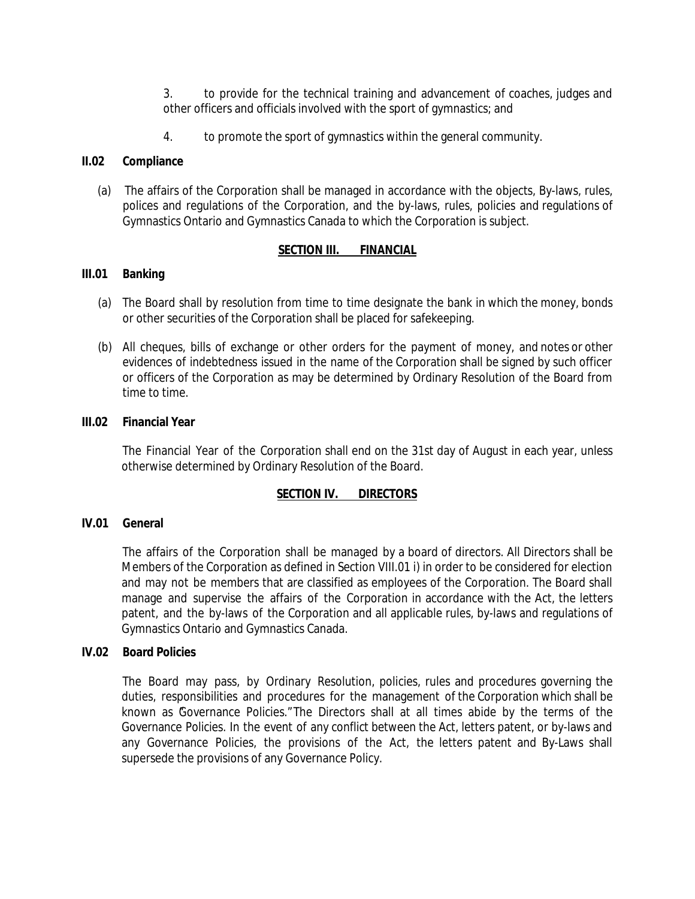3. to provide for the technical training and advancement of coaches, judges and other officers and officials involved with the sport of gymnastics; and

4. to promote the sport of gymnastics within the general community.

## **II.02 Compliance**

(a) The affairs of the Corporation shall be managed in accordance with the objects, By-laws, rules, polices and regulations of the Corporation, and the by-laws, rules, policies and regulations of Gymnastics Ontario and Gymnastics Canada to which the Corporation is subject.

# **SECTION III. FINANCIAL**

### **III.01 Banking**

- (a) The Board shall by resolution from time to time designate the bank in which the money, bonds or other securities of the Corporation shall be placed for safekeeping.
- (b) All cheques, bills of exchange or other orders for the payment of money, and notes or other evidences of indebtedness issued in the name of the Corporation shall be signed by such officer or officers of the Corporation as may be determined by Ordinary Resolution of the Board from time to time.

### **III.02 Financial Year**

The Financial Year of the Corporation shall end on the 31st day of August in each year, unless otherwise determined by Ordinary Resolution of the Board.

# **SECTION IV. DIRECTORS**

### **IV.01 General**

The affairs of the Corporation shall be managed by a board of directors. All Directors shall be Members of the Corporation as defined in Section VIII.01 i) in order to be considered for election and may not be members that are classified as employees of the Corporation. The Board shall manage and supervise the affairs of the Corporation in accordance with the Act, the letters patent, and the by-laws of the Corporation and all applicable rules, by-laws and regulations of Gymnastics Ontario and Gymnastics Canada.

### **IV.02 Board Policies**

The Board may pass, by Ordinary Resolution, policies, rules and procedures governing the duties, responsibilities and procedures for the management of the Corporation which shall be known as Governance Policies."The Directors shall at all times abide by the terms of the Governance Policies. In the event of any conflict between the Act, letters patent, or by-laws and any Governance Policies, the provisions of the Act, the letters patent and By-Laws shall supersede the provisions of any Governance Policy.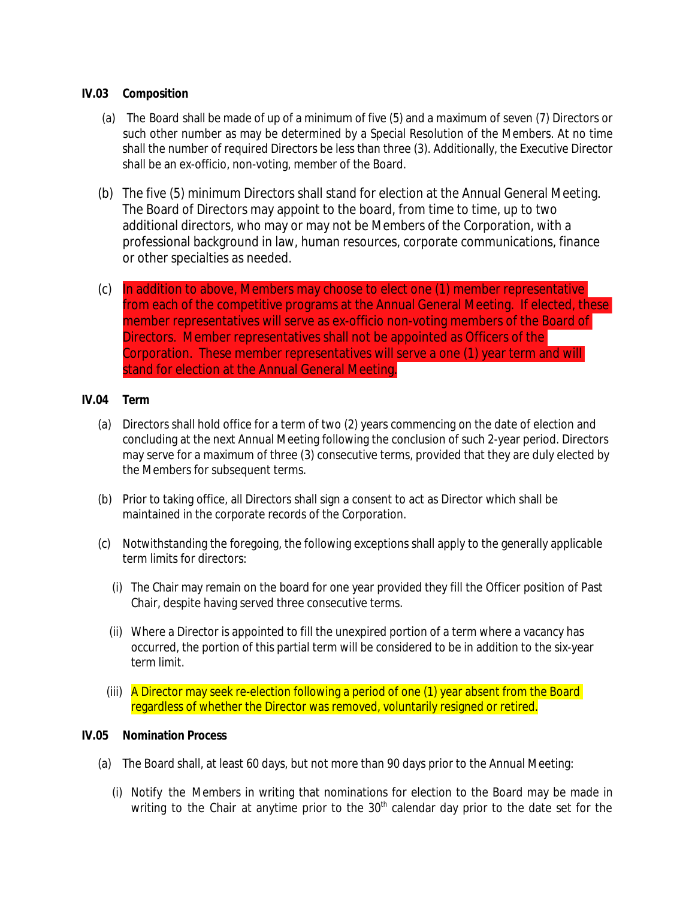# **IV.03 Composition**

- (a) The Board shall be made of up of a minimum of five (5) and a maximum of seven (7) Directors or such other number as may be determined by a Special Resolution of the Members. At no time shall the number of required Directors be less than three (3). Additionally, the Executive Director shall be an ex-officio, non-voting, member of the Board.
- (b) The five (5) minimum Directors shall stand for election at the Annual General Meeting. The Board of Directors may appoint to the board, from time to time, up to two additional directors, who may or may not be Members of the Corporation, with a professional background in law, human resources, corporate communications, finance or other specialties as needed.
- (c) In addition to above, Members may choose to elect one (1) member representative from each of the competitive programs at the Annual General Meeting. If elected, these member representatives will serve as ex-officio non-voting members of the Board of Directors. Member representatives shall not be appointed as Officers of the Corporation. These member representatives will serve a one (1) year term and will stand for election at the Annual General Meeting.

### **IV.04 Term**

- (a) Directors shall hold office for a term of two (2) years commencing on the date of election and concluding at the next Annual Meeting following the conclusion of such 2-year period. Directors may serve for a maximum of three (3) consecutive terms, provided that they are duly elected by the Members for subsequent terms.
- (b) Prior to taking office, all Directors shall sign a consent to act as Director which shall be maintained in the corporate records of the Corporation.
- (c) Notwithstanding the foregoing, the following exceptions shall apply to the generally applicable term limits for directors:
	- (i) The Chair may remain on the board for one year provided they fill the Officer position of Past Chair, despite having served three consecutive terms.
	- (ii) Where a Director is appointed to fill the unexpired portion of a term where a vacancy has occurred, the portion of this partial term will be considered to be in addition to the six-year term limit.
	- (iii) A Director may seek re-election following a period of one (1) year absent from the Board regardless of whether the Director was removed, voluntarily resigned or retired.

### **IV.05 Nomination Process**

- (a) The Board shall, at least 60 days, but not more than 90 days prior to the Annual Meeting:
	- (i) Notify the Members in writing that nominations for election to the Board may be made in writing to the Chair at anytime prior to the  $30<sup>th</sup>$  calendar day prior to the date set for the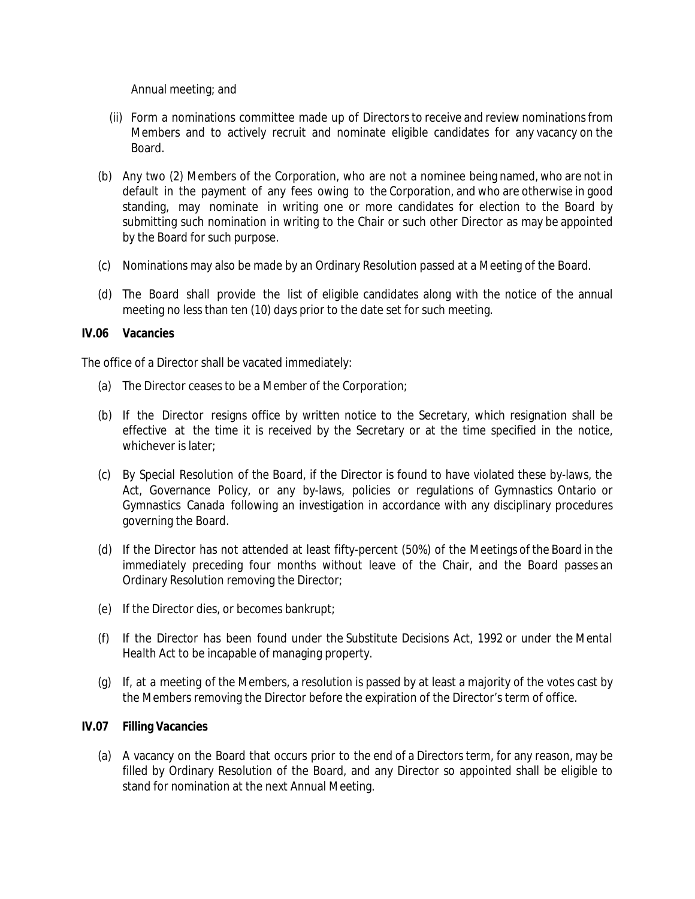Annual meeting; and

- (ii) Form a nominations committee made up of Directorsto receive and review nominationsfrom Members and to actively recruit and nominate eligible candidates for any vacancy on the Board.
- (b) Any two (2) Members of the Corporation, who are not a nominee being named, who are not in default in the payment of any fees owing to the Corporation, and who are otherwise in good standing, may nominate in writing one or more candidates for election to the Board by submitting such nomination in writing to the Chair or such other Director as may be appointed by the Board for such purpose.
- (c) Nominations may also be made by an Ordinary Resolution passed at a Meeting of the Board.
- (d) The Board shall provide the list of eligible candidates along with the notice of the annual meeting no less than ten (10) days prior to the date set for such meeting.

# **IV.06 Vacancies**

The office of a Director shall be vacated immediately:

- (a) The Director ceases to be a Member of the Corporation;
- (b) If the Director resigns office by written notice to the Secretary, which resignation shall be effective at the time it is received by the Secretary or at the time specified in the notice, whichever is later;
- (c) By Special Resolution of the Board, if the Director is found to have violated these by-laws, the Act, Governance Policy, or any by-laws, policies or regulations of Gymnastics Ontario or Gymnastics Canada following an investigation in accordance with any disciplinary procedures governing the Board.
- (d) If the Director has not attended at least fifty-percent (50%) of the Meetings of the Board in the immediately preceding four months without leave of the Chair, and the Board passes an Ordinary Resolution removing the Director;
- (e) If the Director dies, or becomes bankrupt;
- (f) If the Director has been found under the *Substitute Decisions Act, 1992* or under the *Mental Health Act* to be incapable of managing property.
- (g) If, at a meeting of the Members, a resolution is passed by at least a majority of the votes cast by the Members removing the Director before the expiration of the Director's term of office.

# **IV.07 Filling Vacancies**

(a) A vacancy on the Board that occurs prior to the end of a Directors term, for any reason, may be filled by Ordinary Resolution of the Board, and any Director so appointed shall be eligible to stand for nomination at the next Annual Meeting.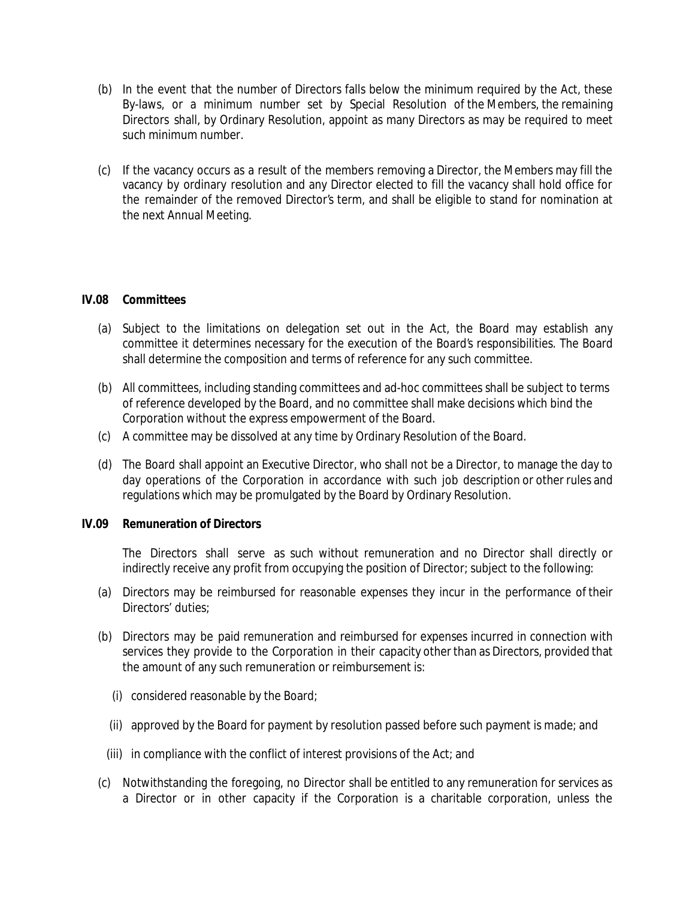- (b) In the event that the number of Directors falls below the minimum required by the Act, these By-laws, or a minimum number set by Special Resolution of the Members, the remaining Directors shall, by Ordinary Resolution, appoint as many Directors as may be required to meet such minimum number.
- (c) If the vacancy occurs as a result of the members removing a Director, the Members may fill the vacancy by ordinary resolution and any Director elected to fill the vacancy shall hold office for the remainder of the removed Director's term, and shall be eligible to stand for nomination at the next Annual Meeting.

# **IV.08 Committees**

- (a) Subject to the limitations on delegation set out in the Act, the Board may establish any committee it determines necessary for the execution of the Board's responsibilities. The Board shall determine the composition and terms of reference for any such committee.
- (b) All committees, including standing committees and ad-hoc committees shall be subject to terms of reference developed by the Board, and no committee shall make decisions which bind the Corporation without the express empowerment of the Board.
- (c) A committee may be dissolved at any time by Ordinary Resolution of the Board.
- (d) The Board shall appoint an Executive Director, who shall not be a Director, to manage the day to day operations of the Corporation in accordance with such job description or other rules and regulations which may be promulgated by the Board by Ordinary Resolution.

# **IV.09 Remuneration of Directors**

The Directors shall serve as such without remuneration and no Director shall directly or indirectly receive any profit from occupying the position of Director; subject to the following:

- (a) Directors may be reimbursed for reasonable expenses they incur in the performance of their Directors' duties;
- (b) Directors may be paid remuneration and reimbursed for expenses incurred in connection with services they provide to the Corporation in their capacity other than as Directors, provided that the amount of any such remuneration or reimbursement is:
	- (i) considered reasonable by the Board;
	- (ii) approved by the Board for payment by resolution passed before such payment is made; and
	- (iii) in compliance with the conflict of interest provisions of the Act; and
- (c) Notwithstanding the foregoing, no Director shall be entitled to any remuneration for services as a Director or in other capacity if the Corporation is a charitable corporation, unless the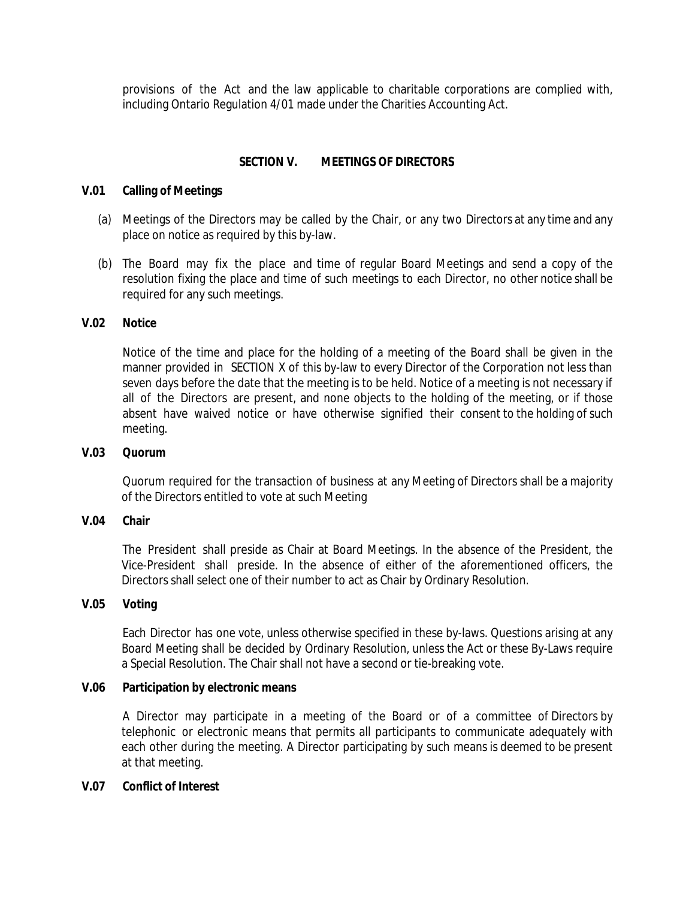provisions of the Act and the law applicable to charitable corporations are complied with, including Ontario Regulation 4/01 made under the Charities Accounting Act.

### **SECTION V. MEETINGS OF DIRECTORS**

### **V.01 Calling of Meetings**

- (a) Meetings of the Directors may be called by the Chair, or any two Directors at any time and any place on notice as required by this by-law.
- (b) The Board may fix the place and time of regular Board Meetings and send a copy of the resolution fixing the place and time of such meetings to each Director, no other notice shall be required for any such meetings.

### **V.02 Notice**

Notice of the time and place for the holding of a meeting of the Board shall be given in the manner provided in SECTION X of this by-law to every Director of the Corporation not less than seven days before the date that the meeting is to be held. Notice of a meeting is not necessary if all of the Directors are present, and none objects to the holding of the meeting, or if those absent have waived notice or have otherwise signified their consent to the holding of such meeting.

#### **V.03 Quorum**

Quorum required for the transaction of business at any Meeting of Directors shall be a majority of the Directors entitled to vote at such Meeting

### **V.04 Chair**

The President shall preside as Chair at Board Meetings. In the absence of the President, the Vice-President shall preside. In the absence of either of the aforementioned officers, the Directors shall select one of their number to act as Chair by Ordinary Resolution.

### **V.05 Voting**

Each Director has one vote, unless otherwise specified in these by-laws. Questions arising at any Board Meeting shall be decided by Ordinary Resolution, unless the Act or these By-Laws require a Special Resolution. The Chair shall not have a second or tie-breaking vote.

### **V.06 Participation by electronic means**

A Director may participate in a meeting of the Board or of a committee of Directors by telephonic or electronic means that permits all participants to communicate adequately with each other during the meeting. A Director participating by such means is deemed to be present at that meeting.

### **V.07 Conflict of Interest**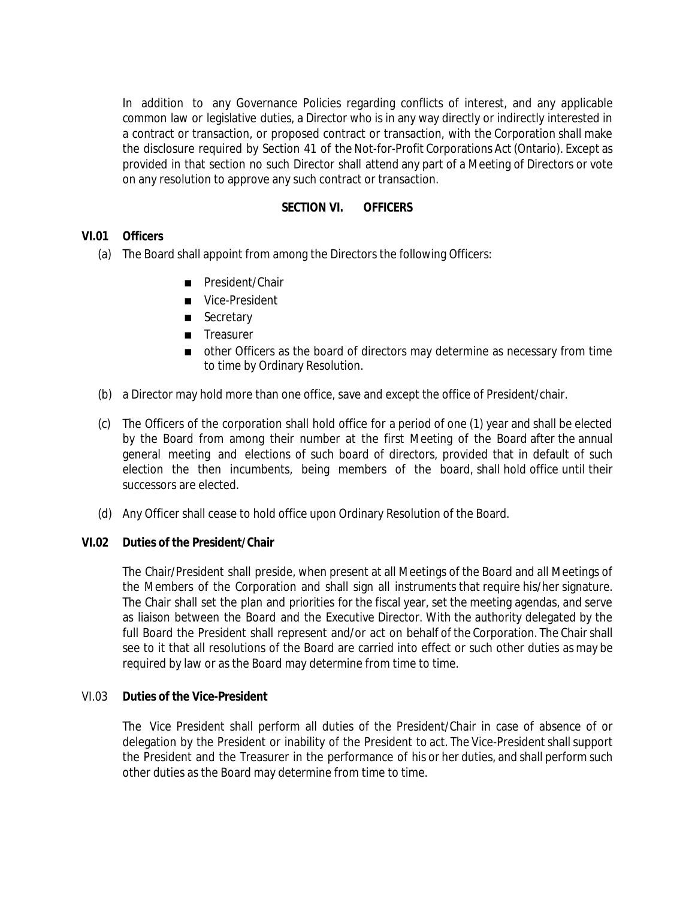In addition to any Governance Policies regarding conflicts of interest, and any applicable common law or legislative duties, a Director who is in any way directly or indirectly interested in a contract or transaction, or proposed contract or transaction, with the Corporation shall make the disclosure required by Section 41 of the Not-for-Profit Corporations Act (Ontario). Except as provided in that section no such Director shall attend any part of a Meeting of Directors or vote on any resolution to approve any such contract or transaction.

## **SECTION VI. OFFICERS**

### **VI.01 Officers**

(a) The Board shall appoint from among the Directors the following Officers:

President/Chair Vice-President **Secretary Treasurer** other Officers as the board of directors may determine as necessary from time to time by Ordinary Resolution.

- (b) a Director may hold more than one office, save and except the office of President/chair.
- (c) The Officers of the corporation shall hold office for a period of one (1) year and shall be elected by the Board from among their number at the first Meeting of the Board after the annual general meeting and elections of such board of directors, provided that in default of such election the then incumbents, being members of the board, shall hold office until their successors are elected.
- (d) Any Officer shall cease to hold office upon Ordinary Resolution of the Board.

### **VI.02 Duties of the President/Chair**

The Chair/President shall preside, when present at all Meetings of the Board and all Meetings of the Members of the Corporation and shall sign all instruments that require his/her signature. The Chair shall set the plan and priorities for the fiscal year, set the meeting agendas, and serve as liaison between the Board and the Executive Director. With the authority delegated by the full Board the President shall represent and/or act on behalf of the Corporation. The Chair shall see to it that all resolutions of the Board are carried into effect or such other duties as may be required by law or as the Board may determine from time to time.

### VI.03 **Duties of the Vice-President**

The Vice President shall perform all duties of the President/Chair in case of absence of or delegation by the President or inability of the President to act. The Vice-President shall support the President and the Treasurer in the performance of his or her duties, and shall perform such other duties as the Board may determine from time to time.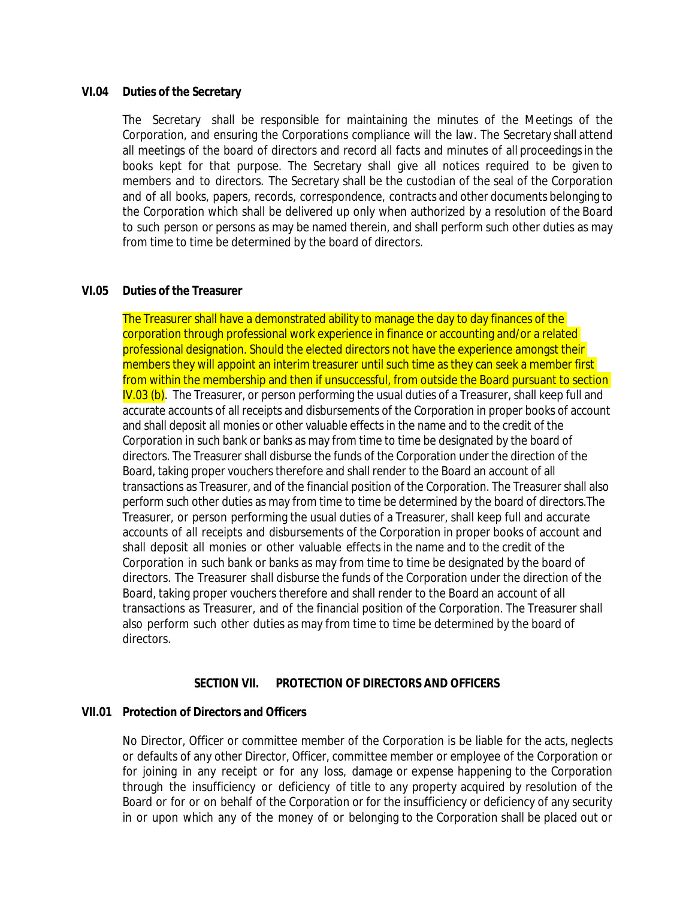#### **VI.04 Duties of the Secretary**

The Secretary shall be responsible for maintaining the minutes of the Meetings of the Corporation, and ensuring the Corporations compliance will the law. The Secretary shall attend all meetings of the board of directors and record all facts and minutes of all proceedings in the books kept for that purpose. The Secretary shall give all notices required to be given to members and to directors. The Secretary shall be the custodian of the seal of the Corporation and of all books, papers, records, correspondence, contracts and other documents belonging to the Corporation which shall be delivered up only when authorized by a resolution of the Board to such person or persons as may be named therein, and shall perform such other duties as may from time to time be determined by the board of directors.

### **VI.05 Duties of the Treasurer**

The Treasurer shall have a demonstrated ability to manage the day to day finances of the corporation through professional work experience in finance or accounting and/or a related professional designation. Should the elected directors not have the experience amongst their members they will appoint an interim treasurer until such time as they can seek a member first from within the membership and then if unsuccessful, from outside the Board pursuant to section  $\overline{N.03}$  (b). The Treasurer, or person performing the usual duties of a Treasurer, shall keep full and accurate accounts of all receipts and disbursements of the Corporation in proper books of account and shall deposit all monies or other valuable effects in the name and to the credit of the Corporation in such bank or banks as may from time to time be designated by the board of directors. The Treasurer shall disburse the funds of the Corporation under the direction of the Board, taking proper vouchers therefore and shall render to the Board an account of all transactions as Treasurer, and of the financial position of the Corporation. The Treasurer shall also perform such other duties as may from time to time be determined by the board of directors.The Treasurer, or person performing the usual duties of a Treasurer, shall keep full and accurate accounts of all receipts and disbursements of the Corporation in proper books of account and shall deposit all monies or other valuable effects in the name and to the credit of the Corporation in such bank or banks as may from time to time be designated by the board of directors. The Treasurer shall disburse the funds of the Corporation under the direction of the Board, taking proper vouchers therefore and shall render to the Board an account of all transactions as Treasurer, and of the financial position of the Corporation. The Treasurer shall also perform such other duties as may from time to time be determined by the board of directors.

#### **SECTION VII. PROTECTION OF DIRECTORS AND OFFICERS**

### **VII.01 Protection of Directors and Officers**

No Director, Officer or committee member of the Corporation is be liable for the acts, neglects or defaults of any other Director, Officer, committee member or employee of the Corporation or for joining in any receipt or for any loss, damage or expense happening to the Corporation through the insufficiency or deficiency of title to any property acquired by resolution of the Board or for or on behalf of the Corporation or for the insufficiency or deficiency of any security in or upon which any of the money of or belonging to the Corporation shall be placed out or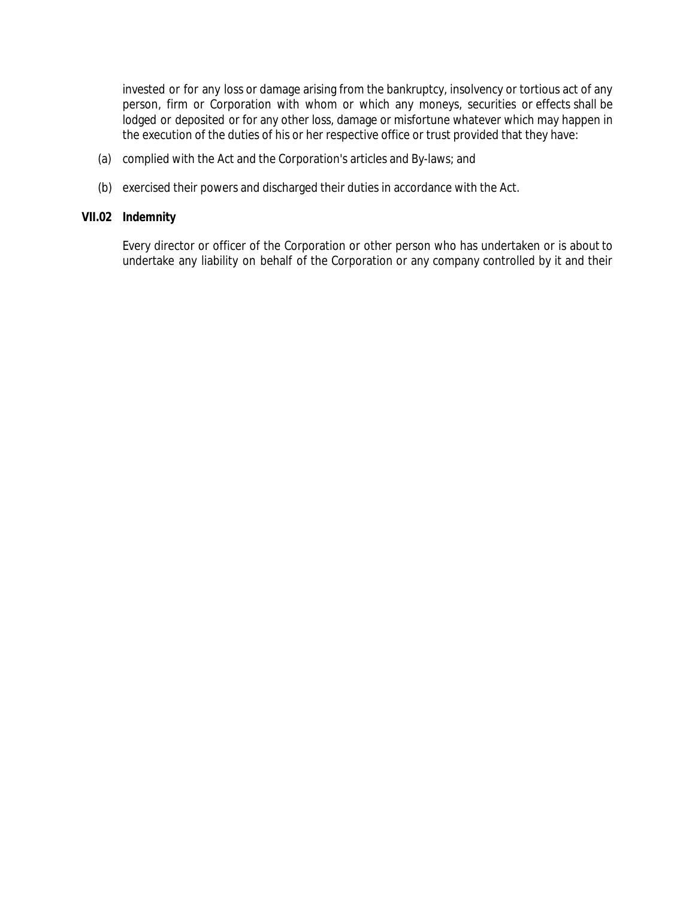invested or for any loss or damage arising from the bankruptcy, insolvency or tortious act of any person, firm or Corporation with whom or which any moneys, securities or effects shall be lodged or deposited or for any other loss, damage or misfortune whatever which may happen in the execution of the duties of his or her respective office or trust provided that they have:

- (a) complied with the Act and the Corporation's articles and By-laws; and
- (b) exercised their powers and discharged their duties in accordance with the Act.

## **VII.02 Indemnity**

Every director or officer of the Corporation or other person who has undertaken or is about to undertake any liability on behalf of the Corporation or any company controlled by it and their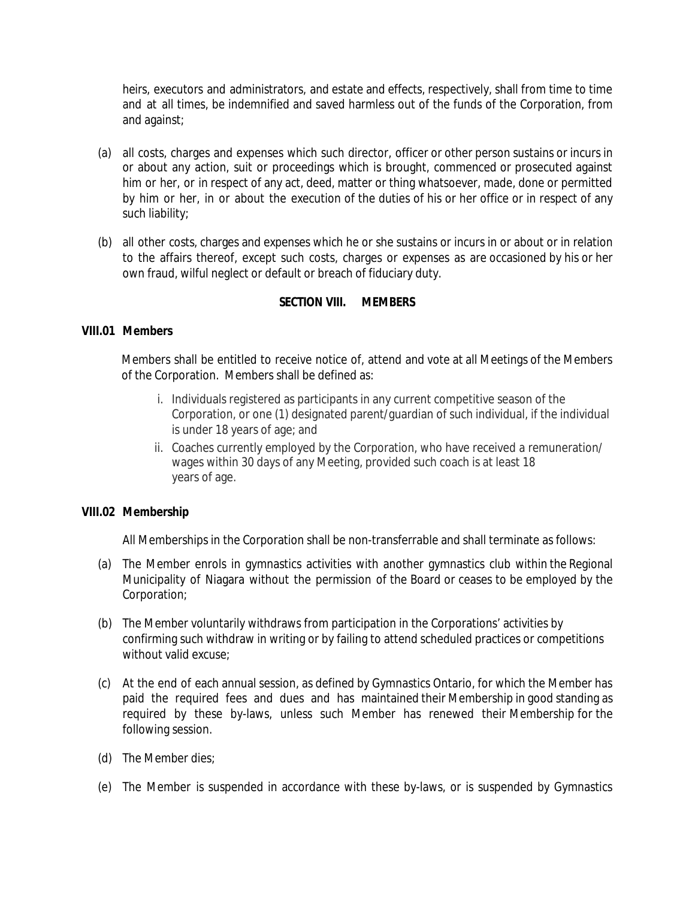heirs, executors and administrators, and estate and effects, respectively, shall from time to time and at all times, be indemnified and saved harmless out of the funds of the Corporation, from and against;

- (a) all costs, charges and expenses which such director, officer or other person sustains or incurs in or about any action, suit or proceedings which is brought, commenced or prosecuted against him or her, or in respect of any act, deed, matter or thing whatsoever, made, done or permitted by him or her, in or about the execution of the duties of his or her office or in respect of any such liability;
- (b) all other costs, charges and expenses which he or she sustains or incurs in or about or in relation to the affairs thereof, except such costs, charges or expenses as are occasioned by his or her own fraud, wilful neglect or default or breach of fiduciary duty.

# **SECTION VIII. MEMBERS**

# **VIII.01 Members**

Members shall be entitled to receive notice of, attend and vote at all Meetings of the Members of the Corporation. Members shall be defined as:

- i. Individuals registered as participants in any current competitive season of the Corporation, or one (1) designated parent/guardian of such individual, if the individual is under 18 years of age; and
- ii. Coaches currently employed by the Corporation, who have received a remuneration/ wages within 30 days of any Meeting, provided such coach is at least 18 years of age.

# **VIII.02 Membership**

All Memberships in the Corporation shall be non-transferrable and shall terminate as follows:

- (a) The Member enrols in gymnastics activities with another gymnastics club within the Regional Municipality of Niagara without the permission of the Board or ceases to be employed by the Corporation;
- (b) The Member voluntarily withdraws from participation in the Corporations' activities by confirming such withdraw in writing or by failing to attend scheduled practices or competitions without valid excuse;
- (c) At the end of each annual session, as defined by Gymnastics Ontario, for which the Member has paid the required fees and dues and has maintained their Membership in good standing as required by these by-laws, unless such Member has renewed their Membership for the following session.
- (d) The Member dies;
- (e) The Member is suspended in accordance with these by-laws, or is suspended by Gymnastics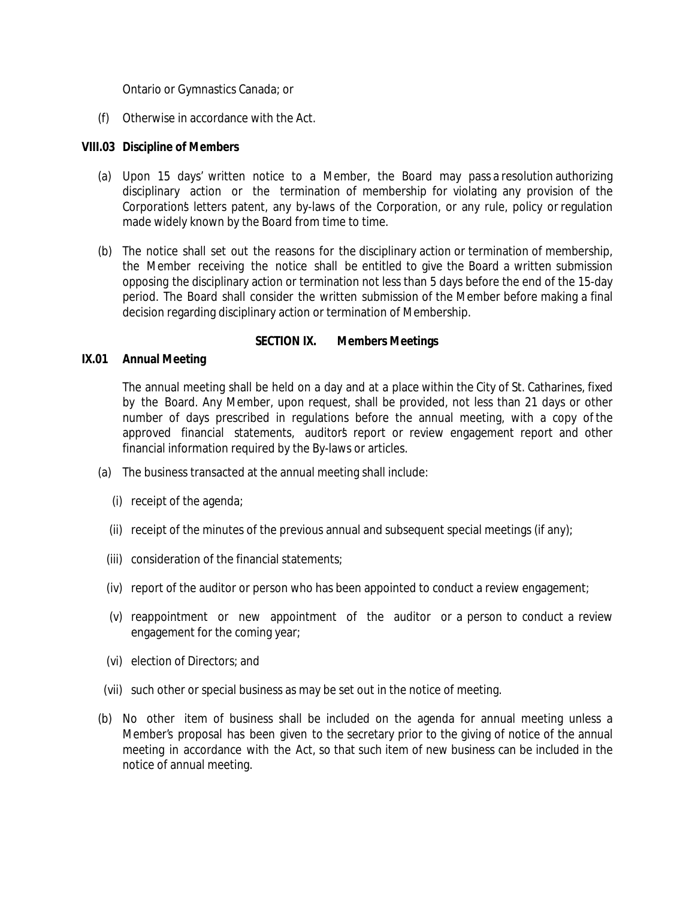Ontario or Gymnastics Canada; or

(f) Otherwise in accordance with the Act.

### **VIII.03 Discipline of Members**

- (a) Upon 15 days' written notice to a Member, the Board may pass a resolution authorizing disciplinary action or the termination of membership for violating any provision of the Corporation's letters patent, any by-laws of the Corporation, or any rule, policy or regulation made widely known by the Board from time to time.
- (b) The notice shall set out the reasons for the disciplinary action or termination of membership, the Member receiving the notice shall be entitled to give the Board a written submission opposing the disciplinary action or termination not less than 5 days before the end of the 15-day period. The Board shall consider the written submission of the Member before making a final decision regarding disciplinary action or termination of Membership.

### **SECTION IX. Members Meetings**

### **IX.01 Annual Meeting**

The annual meeting shall be held on a day and at a place within the City of St. Catharines, fixed by the Board. Any Member, upon request, shall be provided, not less than 21 days or other number of days prescribed in regulations before the annual meeting, with a copy of the approved financial statements, auditor's report or review engagement report and other financial information required by the By-laws or articles.

- (a) The business transacted at the annual meeting shall include:
	- (i) receipt of the agenda;
	- (ii) receipt of the minutes of the previous annual and subsequent special meetings (if any);
	- (iii) consideration of the financial statements;
	- (iv) report of the auditor or person who has been appointed to conduct a review engagement;
	- (v) reappointment or new appointment of the auditor or a person to conduct a review engagement for the coming year;
	- (vi) election of Directors; and
- (vii) such other or special business as may be set out in the notice of meeting.
- (b) No other item of business shall be included on the agenda for annual meeting unless a Member's proposal has been given to the secretary prior to the giving of notice of the annual meeting in accordance with the Act, so that such item of new business can be included in the notice of annual meeting.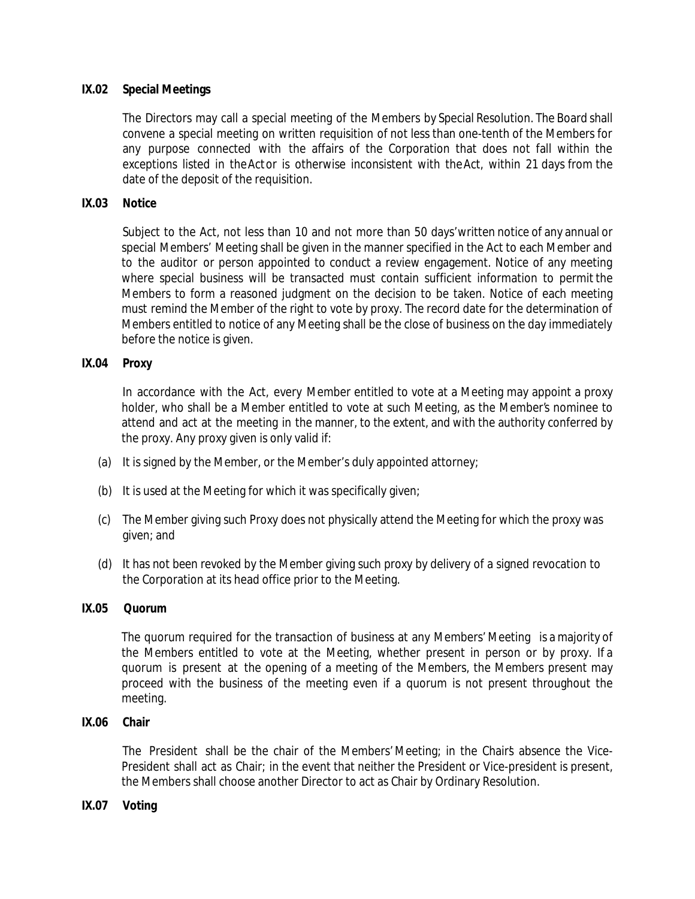# **IX.02 Special Meetings**

The Directors may call a special meeting of the Members by Special Resolution. The Board shall convene a special meeting on written requisition of not less than one-tenth of the Members for any purpose connected with the affairs of the Corporation that does not fall within the exceptions listed in theActor is otherwise inconsistent with theAct, within 21 days from the date of the deposit of the requisition.

### **IX.03 Notice**

Subject to the Act, not less than 10 and not more than 50 days'written notice of any annual or special Members' Meeting shall be given in the manner specified in the Act to each Member and to the auditor or person appointed to conduct a review engagement. Notice of any meeting where special business will be transacted must contain sufficient information to permit the Members to form a reasoned judgment on the decision to be taken. Notice of each meeting must remind the Member of the right to vote by proxy. The record date for the determination of Members entitled to notice of any Meeting shall be the close of business on the day immediately before the notice is given.

### **IX.04 Proxy**

In accordance with the Act, every Member entitled to vote at a Meeting may appoint a proxy holder, who shall be a Member entitled to vote at such Meeting, as the Member's nominee to attend and act at the meeting in the manner, to the extent, and with the authority conferred by the proxy. Any proxy given is only valid if:

- (a) It is signed by the Member, or the Member's duly appointed attorney;
- (b) It is used at the Meeting for which it was specifically given;
- (c) The Member giving such Proxy does not physically attend the Meeting for which the proxy was given; and
- (d) It has not been revoked by the Member giving such proxy by delivery of a signed revocation to the Corporation at its head office prior to the Meeting.

### **IX.05 Quorum**

The quorum required for the transaction of business at any Members' Meeting is a majority of the Members entitled to vote at the Meeting, whether present in person or by proxy. If a quorum is present at the opening of a meeting of the Members, the Members present may proceed with the business of the meeting even if a quorum is not present throughout the meeting.

### **IX.06 Chair**

The President shall be the chair of the Members' Meeting; in the Chair's absence the Vice-President shall act as Chair; in the event that neither the President or Vice-president is present, the Members shall choose another Director to act as Chair by Ordinary Resolution.

**IX.07 Voting**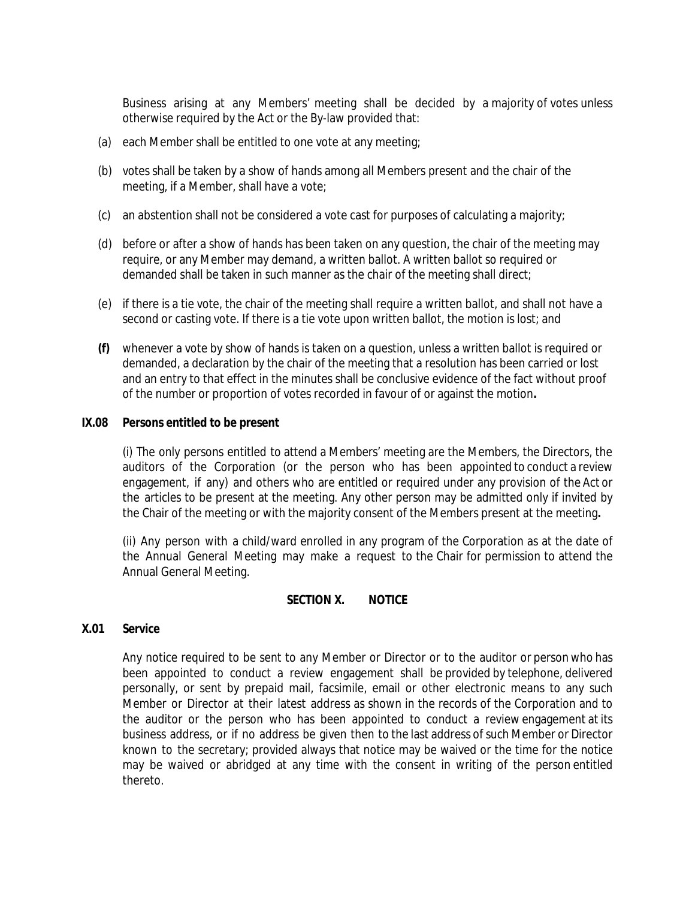Business arising at any Members' meeting shall be decided by a majority of votes unless otherwise required by the Act or the By-law provided that:

- (a) each Member shall be entitled to one vote at any meeting;
- (b) votes shall be taken by a show of hands among all Members present and the chair of the meeting, if a Member, shall have a vote;
- (c) an abstention shall not be considered a vote cast for purposes of calculating a majority;
- (d) before or after a show of hands has been taken on any question, the chair of the meeting may require, or any Member may demand, a written ballot. A written ballot so required or demanded shall be taken in such manner as the chair of the meeting shall direct;
- (e) if there is a tie vote, the chair of the meeting shall require a written ballot, and shall not have a second or casting vote. If there is a tie vote upon written ballot, the motion is lost; and
- **(f)** whenever a vote by show of hands is taken on a question, unless a written ballot is required or demanded, a declaration by the chair of the meeting that a resolution has been carried or lost and an entry to that effect in the minutes shall be conclusive evidence of the fact without proof of the number or proportion of votes recorded in favour of or against the motion**.**

### **IX.08 Persons entitled to be present**

(i) The only persons entitled to attend a Members' meeting are the Members, the Directors, the auditors of the Corporation (or the person who has been appointed to conduct a review engagement, if any) and others who are entitled or required under any provision of the Act or the articles to be present at the meeting. Any other person may be admitted only if invited by the Chair of the meeting or with the majority consent of the Members present at the meeting**.**

(ii) Any person with a child/ward enrolled in any program of the Corporation as at the date of the Annual General Meeting may make a request to the Chair for permission to attend the Annual General Meeting.

### **SECTION X. NOTICE**

### **X.01 Service**

Any notice required to be sent to any Member or Director or to the auditor or person who has been appointed to conduct a review engagement shall be provided by telephone, delivered personally, or sent by prepaid mail, facsimile, email or other electronic means to any such Member or Director at their latest address as shown in the records of the Corporation and to the auditor or the person who has been appointed to conduct a review engagement at its business address, or if no address be given then to the last address ofsuch Member or Director known to the secretary; provided always that notice may be waived or the time for the notice may be waived or abridged at any time with the consent in writing of the person entitled thereto.